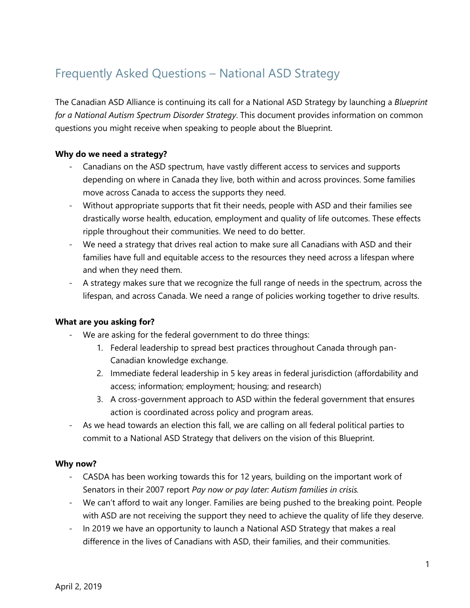# Frequently Asked Questions – National ASD Strategy

The Canadian ASD Alliance is continuing its call for a National ASD Strategy by launching a *Blueprint for a National Autism Spectrum Disorder Strategy*. This document provides information on common questions you might receive when speaking to people about the Blueprint.

# **Why do we need a strategy?**

- Canadians on the ASD spectrum, have vastly different access to services and supports depending on where in Canada they live, both within and across provinces. Some families move across Canada to access the supports they need.
- Without appropriate supports that fit their needs, people with ASD and their families see drastically worse health, education, employment and quality of life outcomes. These effects ripple throughout their communities. We need to do better.
- We need a strategy that drives real action to make sure all Canadians with ASD and their families have full and equitable access to the resources they need across a lifespan where and when they need them.
- A strategy makes sure that we recognize the full range of needs in the spectrum, across the lifespan, and across Canada. We need a range of policies working together to drive results.

## **What are you asking for?**

- We are asking for the federal government to do three things:
	- 1. Federal leadership to spread best practices throughout Canada through pan-Canadian knowledge exchange.
	- 2. Immediate federal leadership in 5 key areas in federal jurisdiction (affordability and access; information; employment; housing; and research)
	- 3. A cross-government approach to ASD within the federal government that ensures action is coordinated across policy and program areas.
- As we head towards an election this fall, we are calling on all federal political parties to commit to a National ASD Strategy that delivers on the vision of this Blueprint.

## **Why now?**

- CASDA has been working towards this for 12 years, building on the important work of Senators in their 2007 report *Pay now or pay later: Autism families in crisis.*
- We can't afford to wait any longer. Families are being pushed to the breaking point. People with ASD are not receiving the support they need to achieve the quality of life they deserve.
- In 2019 we have an opportunity to launch a National ASD Strategy that makes a real difference in the lives of Canadians with ASD, their families, and their communities.